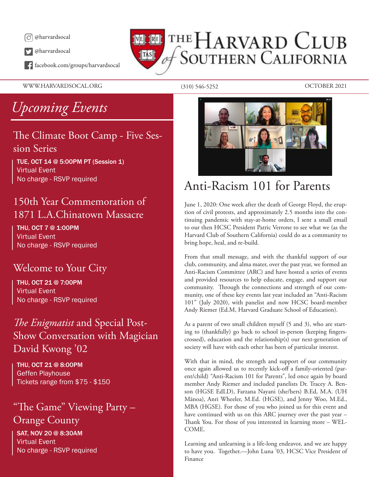

@harvardsocal

facebook.com/groups/harvardsocal

WWW.HARVARDSOCAL.ORG (310) 546-5252 OCTOBER 2021

*Upcoming Events*

## The Climate Boot Camp - Five Session Series

TUE, OCT 14 @ 5:00PM PT (Session 1) Virtual Event No charge - RSVP required

## 150th Year Commemoration of 1871 L.A.Chinatown Massacre

THU, OCT 7 @ 1:00PM Virtual Event No charge - RSVP required

## Welcome to Your City

THU, OCT 21 @ 7:00PM Virtual Event No charge - RSVP required

## *The Enigmatist* and Special Post-Show Conversation with Magician David Kwong '02

THU, OCT 21 @ 8:00PM Geffen Playhouse Tickets range from \$75 - \$150

## "The Game" Viewing Party – Orange County

SAT, NOV 20 @ 8:30AM Virtual Event No charge - RSVP required

# THE HARVARD CLUB **SOUTHERN CALIFORNIA**  $\|$ TAS $\|$



# Anti-Racism 101 for Parents

June 1, 2020: One week after the death of George Floyd, the eruption of civil protests, and approximately 2.5 months into the continuing pandemic with stay-at-home orders, I sent a small email to our then HCSC President Patric Verrone to see what we (as the Harvard Club of Southern California) could do as a community to bring hope, heal, and re-build.

From that small message, and with the thankful support of our club, community, and alma mater, over the past year, we formed an Anti-Racism Committee (ARC) and have hosted a series of events and provided resources to help educate, engage, and support our community. Through the connections and strength of our community, one of these key events last year included an "Anti-Racism 101" (July 2020), with panelist and now HCSC board-member Andy Riemer (Ed.M, Harvard Graduate School of Education).

As a parent of two small children myself (5 and 3), who are starting to (thankfully) go back to school in-person (keeping fingerscrossed), education and the relationship(s) our next-generation of society will have with each other has been of particular interest.

With that in mind, the strength and support of our community once again allowed us to recently kick-off a family-oriented (parent/child) "Anti-Racism 101 for Parents", led once again by board member Andy Riemer and included panelists Dr. Tracey A. Benson (HGSE EdLD), Farzana Nayani (she/hers) B.Ed, M.A. (UH Mānoa), Anri Wheeler, M.Ed. (HGSE), and Jenny Woo, M.Ed., MBA (HGSE). For those of you who joined us for this event and have continued with us on this ARC journey over the past year – Thank You. For those of you interested in learning more – WEL-COME.

Learning and unlearning is a life-long endeavor, and we are happy to have you. Together.—John Luna '03, HCSC Vice President of Finance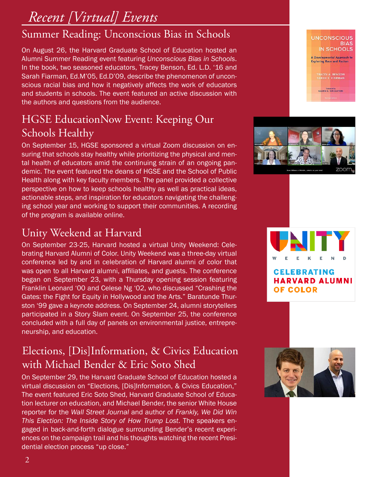# *Recent [Virtual] Events*

# Summer Reading: Unconscious Bias in Schools

On August 26, the Harvard Graduate School of Education hosted an Alumni Summer Reading event featuring *Unconscious Bias in Schools*. In the book, two seasoned educators, Tracey Benson, Ed. L.D. '16 and Sarah Fiarman, Ed.M'05, Ed.D'09, describe the phenomenon of unconscious racial bias and how it negatively affects the work of educators and students in schools. The event featured an active discussion with the authors and questions from the audience.

# HGSE EducationNow Event: Keeping Our Schools Healthy

On September 15, HGSE sponsored a virtual Zoom discussion on ensuring that schools stay healthy while prioritizing the physical and mental health of educators amid the continuing strain of an ongoing pandemic. The event featured the deans of HGSE and the School of Public Health along with key faculty members. The panel provided a collective perspective on how to keep schools healthy as well as practical ideas, actionable steps, and inspiration for educators navigating the challenging school year and working to support their communities. A recording of the program is available online.

# Unity Weekend at Harvard

On September 23-25, Harvard hosted a virtual Unity Weekend: Celebrating Harvard Alumni of Color. Unity Weekend was a three-day virtual conference led by and in celebration of Harvard alumni of color that was open to all Harvard alumni, affiliates, and guests. The conference began on September 23, with a Thursday opening session featuring Franklin Leonard '00 and Celese Ng '02, who discussed "Crashing the Gates: the Fight for Equity in Hollywood and the Arts." Baratunde Thurston '99 gave a keynote address. On September 24, alumni storytellers participated in a Story Slam event. On September 25, the conference concluded with a full day of panels on environmental justice, entrepreneurship, and education.

# Elections, [Dis]Information, & Civics Education with Michael Bender & Eric Soto Shed

On September 29, the Harvard Graduate School of Education hosted a virtual discussion on "Elections, [Dis]Information, & Civics Education," The event featured Eric Soto Shed, Harvard Graduate School of Education lecturer on education, and Michael Bender, the senior White House reporter for the *Wall Street Journal* and author of *Frankly, We Did Win This Election: The Inside Story of How Trump Lost*. The speakers engaged in back-and-forth dialogue surrounding Bender's recent experiences on the campaign trail and his thoughts watching the recent Presidential election process "up close."



**UNCONSCIOUS** 

**TRACEY A. BENSON<br>SARAH E. FIARMAN** 

**CLENN E. SINGLETON** 

**BIAS IN SCHOOLS A Developmental Approach to Exploring Race and Racism** 

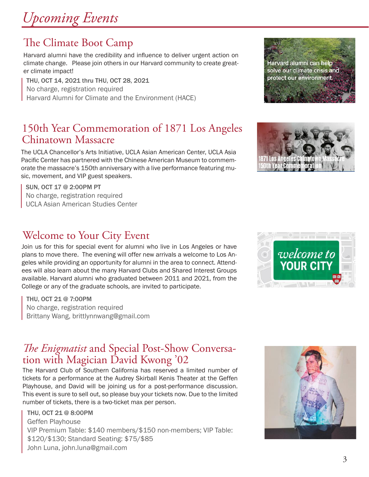# *Upcoming Events*

# The Climate Boot Camp

Harvard alumni have the credibility and influence to deliver urgent action on climate change. Please join others in our Harvard community to create greater climate impact!

THU, OCT 14, 2021 thru THU, OCT 28, 2021 No charge, registration required Harvard Alumni for Climate and the Environment (HACE)

# 150th Year Commemoration of 1871 Los Angeles Chinatown Massacre

The UCLA Chancellor's Arts Initiative, UCLA Asian American Center, UCLA Asia Pacific Center has partnered with the Chinese American Museum to commemorate the massacre's 150th anniversary with a live performance featuring music, movement, and VIP guest speakers.

SUN, OCT 17 @ 2:00PM PT No charge, registration required UCLA Asian American Studies Center

# Welcome to Your City Event

Join us for this for special event for alumni who live in Los Angeles or have plans to move there. The evening will offer new arrivals a welcome to Los Angeles while providing an opportunity for alumni in the area to connect. Attendees will also learn about the many Harvard Clubs and Shared Interest Groups available. Harvard alumni who graduated between 2011 and 2021, from the College or any of the graduate schools, are invited to participate.

THU, OCT 21 @ 7:00PM No charge, registration required Brittany Wang, brittlynnwang@gmail.com

# *The Enigmatist* and Special Post-Show Conversation with Magician David Kwong '02

The Harvard Club of Southern California has reserved a limited number of tickets for a performance at the Audrey Skirball Kenis Theater at the Geffen Playhouse, and David will be joining us for a post-performance discussion. This event is sure to sell out, so please buy your tickets now. Due to the limited number of tickets, there is a two-ticket max per person.

THU, OCT 21 @ 8:00PM Geffen Playhouse VIP Premium Table: \$140 members/\$150 non-members; VIP Table: \$120/\$130; Standard Seating: \$75/\$85 John Luna, john.luna@gmail.com







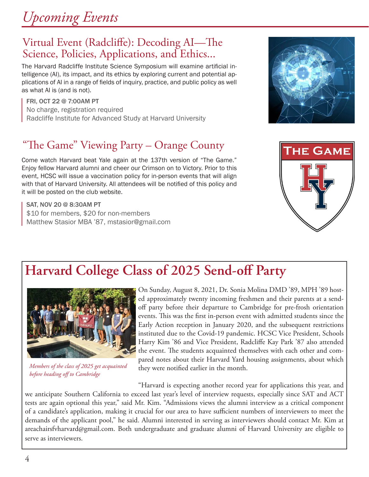4

# *Upcoming Events*

## Virtual Event (Radcliffe): Decoding AI—The Science, Policies, Applications, and Ethics...

The Harvard Radcliffe Institute Science Symposium will examine artificial intelligence (AI), its impact, and its ethics by exploring current and potential applications of AI in a range of fields of inquiry, practice, and public policy as well as what AI is (and is not).

FRI, OCT 22 @ 7:00AM PT No charge, registration required Radcliffe Institute for Advanced Study at Harvard University

# "The Game" Viewing Party – Orange County

Come watch Harvard beat Yale again at the 137th version of "The Game." Enjoy fellow Harvard alumni and cheer our Crimson on to Victory. Prior to this event, HCSC will issue a vaccination policy for in-person events that will align with that of Harvard University. All attendees will be notified of this policy and it will be posted on the club website.

SAT, NOV 20 @ 8:30AM PT \$10 for members, \$20 for non-members Matthew Stasior MBA '87, mstasior@gmail.com

# **Harvard College Class of 2025 Send-off Party**

On Sunday, August 8, 2021, Dr. Sonia Molina DMD '89, MPH '89 hosted approximately twenty incoming freshmen and their parents at a sendoff party before their departure to Cambridge for pre-frosh orientation events. This was the first in-person event with admitted students since the Early Action reception in January 2020, and the subsequent restrictions instituted due to the Covid-19 pandemic. HCSC Vice President, Schools Harry Kim '86 and Vice President, Radcliffe Kay Park '87 also attended the event. The students acquainted themselves with each other and compared notes about their Harvard Yard housing assignments, about which they were notified earlier in the month.

"Harvard is expecting another record year for applications this year, and we anticipate Southern California to exceed last year's level of interview requests, especially since SAT and ACT tests are again optional this year," said Mr. Kim. "Admissions views the alumni interview as a critical component of a candidate's application, making it crucial for our area to have sufficient numbers of interviewers to meet the demands of the applicant pool," he said. Alumni interested in serving as interviewers should contact Mr. Kim at areachairsfvharvard@gmail.com. Both undergraduate and graduate alumni of Harvard University are eligible to serve as interviewers.

# **THE GAME**





*Members of the class of 2025 get acquainted before heading off to Cambridge*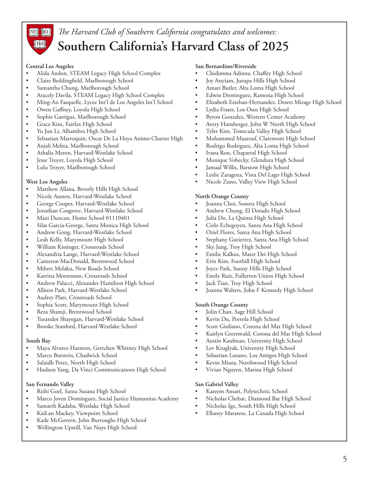

## *The Harvard Club of Southern California congratulates and welcomes:* **Southern California's Harvard Class of 2025**

#### **Central Los Angeles**

- Alida Andon, STEAM Legacy High School Complex
- Claire Beddingfield, Marlborough School
- Samantha Chung, Marlborough School
- Aracely Davila, STEAM Legacy High School Complex
- • Ming-An Fasquelle, Lycee Int'l de Los Angeles Int'l School
- Owen Gaffney, Loyola High School
- Sophie Garrigus, Marlborough School
- Grace Kim, Fairfax High School
- • Yu Jun Li, Alhambra High School
- Sebastian Marroquin, Oscar De La Hoya Animo Charter High
- • Anjali Mehta, Marlborough School
- Athalia Meron, Harvard-Westlake School
- Jesse Troyer, Loyola High School
- Lulu Troyer, Marlborough School

#### **West Los Angeles**

- Matthew Allana, Beverly Hills High School
- Nicole Austen, Harvard-Westlake School
- George Cooper, Harvard-Westlake School
- • Jonathan Cosgrove, Harvard-Westlake School
- Maxi Duncan, Home School 01110401
- Silas Garcia-George, Santa Monica High School
- Andrew Gong, Harvard-Westlake School
- • Leah Kelly, Marymount High School
- William Kissinger, Crossroads School
- Alexandria Lange, Harvard-Westlake School
- • Cameron MacDonald, Brentwood School
- Mihret Melaku, New Roads School
- Katrina Mortenson, Crossroads School
- Andrew Palacci, Alexander Hamilton High School
- • Allison Park, Harvard-Westlake School
- Audrey Platt, Crossroads School
- Sophia Scott, Marymount High School
- Reza Shamji, Brentwood School
- Turandot Shayegan, Harvard-Westlake School
- Brooke Stanford, Harvard-Westlake School

#### **South Bay**

- Maya Alvarez-Harmon, Gretchen Whitney High School
- Marco Burstein, Chadwick School
- Salaidh Perez, North High School
- • Hudson Yang, Da Vinci Communications High School

#### **San Fernando Valley**

- • Rishi Goel, Santa Susana High School
- Marco Joven Dominguez, Social Justice Humanitas Academy
- Samarth Kadaba, Westlake High School
- KaiLan Mackey, Viewpoint School
- Kade McGovern, John Burroughs High School
- Wellington Upstill, Van Nuys High School

#### **San Bernardino/Riverside**

- Chidimma Adinna, Chaffey High School
- Joy Anyiam, Jurupa Hills High School
- Amari Butler, Alta Loma High School
- Edwin Dominguez, Ramona High School
- Elizabeth Esteban-Hernandez, Desert Mirage High School
- Lydia Fraser, Los Osos High School
- Byron Gonzalez, Western Center Academy
- Avery Hansberger, John W North High School
- Tyler Kim, Temecula Valley High School
- Mohammed Maarouf, Claremont High School
- Rodrigo Rodriguez, Alta Loma High School
- Ivana Ron, Chaparral High School
- Monique Vobecky, Glendora High School
- Jamaal Willis, Barstow High School
- Leslie Zaragoza, Vista Del Lago High School
- Nicole Zuno, Valley View High School

#### **North Orange County**

- Joanna Choi, Sonora High School
- Andrew Chung, El Dorado High School
- Julia Do, La Quinta High School
- Cielo Echegoyen, Santa Ana High School
- Oziel Flores, Santa Ana High School
- Stephany Gutierrez, Santa Ana High School
- Sky Jung, Troy High School
- Emilie Kalkus, Mater Dei High School
- Erin Kim, Foothill High School
- Joyce Park, Sunny Hills High School
- Emily Ruiz, Fullerton Union High School
- Jack Tian, Troy High School
- Joanna Walters, John F Kennedy High School

#### **South Orange County**

- Jolin Chan, Sage Hill School
- Kevin Du, Portola High School
- Scott Giuliano, Corona del Mar High School
- Kaitlyn Greenwald, Corona del Mar High School
- Austin Kaufman, University High School
- Lev Kruglyak, University High School
- Sebastian Lozano, Los Amigos High School
- Kevin Miura, Northwood High School
- Vivian Nguyen, Marina High School

#### **San Gabriel Valley**

- Kareem Ansari, Polytechnic School
- Nicholas Chebat, Diamond Bar High School
- Nicholas Ige, South Hills High School
- Ellaney Matarese, La Canada High School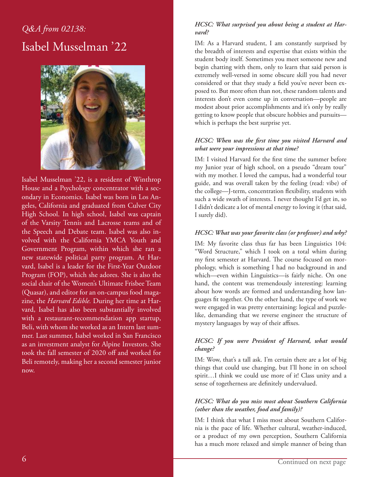# *Q&A from 02138:* Isabel Musselman '22



Isabel Musselman '22, is a resident of Winthrop House and a Psychology concentrator with a secondary in Economics. Isabel was born in Los Angeles, California and graduated from Culver City High School. In high school, Isabel was captain of the Varsity Tennis and Lacrosse teams and of the Speech and Debate team. Isabel was also involved with the California YMCA Youth and Government Program, within which she ran a new statewide political party program. At Harvard, Isabel is a leader for the First-Year Outdoor Program (FOP), which she adores. She is also the social chair of the Women's Ultimate Frisbee Team (Quasar), and editor for an on-campus food magazine, the *Harvard Edible.* During her time at Harvard, Isabel has also been substantially involved with a restaurant-recommendation app startup, Beli, with whom she worked as an Intern last summer. Last summer, Isabel worked in San Francisco as an investment analyst for Alpine Investors. She took the fall semester of 2020 off and worked for Beli remotely, making her a second semester junior now.

#### *HCSC: What surprised you about being a student at Harvard?*

IM: As a Harvard student, I am constantly surprised by the breadth of interests and expertise that exists within the student body itself. Sometimes you meet someone new and begin chatting with them, only to learn that said person is extremely well-versed in some obscure skill you had never considered or that they study a field you've never been exposed to. But more often than not, these random talents and interests don't even come up in conversation—people are modest about prior accomplishments and it's only by really getting to know people that obscure hobbies and pursuits which is perhaps the best surprise yet.

#### *HCSC: When was the first time you visited Harvard and what were your impressions at that time?*

IM: I visited Harvard for the first time the summer before my Junior year of high school, on a pseudo "dream tour" with my mother. I loved the campus, had a wonderful tour guide, and was overall taken by the feeling (read: vibe) of the college—J-term, concentration flexibility, students with such a wide swath of interests. I never thought I'd get in, so I didn't dedicate a lot of mental energy to loving it (that said, I surely did).

#### *HCSC: What was your favorite class (or professor) and why?*

IM: My favorite class thus far has been Linguistics 104: "Word Structure," which I took on a total whim during my first semester at Harvard. The course focused on morphology, which is something I had no background in and which—even within Linguistics—is fairly niche. On one hand, the content was tremendously interesting: learning about how words are formed and understanding how languages fit together. On the other hand, the type of work we were engaged in was pretty entertaining: logical and puzzlelike, demanding that we reverse engineer the structure of mystery languages by way of their affixes.

#### *HCSC: If you were President of Harvard, what would change?*

IM: Wow, that's a tall ask. I'm certain there are a lot of big things that could use changing, but I'll hone in on school spirit…I think we could use more of it! Class unity and a sense of togetherness are definitely undervalued.

#### *HCSC: What do you miss most about Southern California (other than the weather, food and family)?*

IM: I think that what I miss most about Southern California is the pace of life. Whether cultural, weather-induced, or a product of my own perception, Southern California has a much more relaxed and simple manner of being than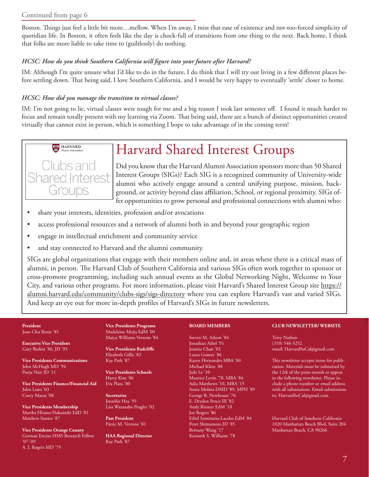#### Continued from page 6

Boston. Things just feel a little bit more…mellow. When I'm away, I miss that ease of existence and not-too-forced simplicity of quotidian life. In Boston, it often feels like the day is chock-full of transitions from one thing to the next. Back home, I think that folks are more liable to take time to (guiltlessly) do nothing.

#### *HCSC: How do you think Southern California will figure into your future after Harvard?*

IM: Although I'm quite unsure what I'd like to do in the future, I do think that I will try out living in a few different places before settling down. That being said, I love Southern California, and I would be very happy to eventually 'settle' closer to home.

#### *HCSC: How did you manage the transition to virtual classes?*

IM: I'm not going to lie, virtual classes were tough for me and a big reason I took last semester off. I found it much harder to focus and remain totally present with my learning via Zoom. That being said, there are a bunch of distinct opportunities created virtually that cannot exist in person, which is something I hope to take advantage of in the coming term!



# Harvard Shared Interest Groups

Did you know that the Harvard Alumni Association sponsors more than 50 Shared Interest Groups (SIGs)? Each SIG is a recognized community of University-wide alumni who actively engage around a central unifying purpose, mission, background, or activity beyond class affiliation, School, or regional proximity. SIGs offer opportunities to grow personal and professional connections with alumni who:

- • share your interests, identities, profession and/or avocations
- access professional resources and a network of alumni both in and beyond your geographic region
- engage in intellectual enrichment and community service
- and stay connected to Harvard and the alumni community.

SIGs are global organizations that engage with their members online and, in areas where there is a critical mass of alumni, in person. The Harvard Club of Southern California and various SIGs often work together to sponsor or cross-promote programming, including such annual events as the Global Networking Night, Welcome to Your City, and various other programs. For more information, please visit Harvard's Shared Interest Group site https:// alumni.harvard.edu/community/clubs-sigs/sigs-directory where you can explore Harvard's vast and varied SIGs. And keep an eye out for more in-depth profiles of Harvard's SIGs in future newsletters.

### Joan Chu Reese '85

**Executive Vice President** Gary Barkin '86, JD '93

**Vice Presidents Communications** John McHugh MD '94 Pooja Nair JD '11

**Vice Presidents Finance/Financial Aid** John Luna '03 Corey Mazza '08

**Vice Presidents Membership** Marsha Hirano-Nakanishi EdD '81 Matthew Stasior '87

**Vice Presidents Orange County** German Enciso HMS Research Fellow '07-'09 A. J. Rogers MD '79

**Vice Presidents Programs** Madeleine Mejia EdM '00 Maiya Williams Verrone '84

**Vice Presidents Radcliffe** Elizabeth Gillis '82 Kay Park '87

**Vice Presidents Schools** Harry Kim '86 Eva Plaza '80

**Secretaries** Jennifer Hsu '95 Lisa Watanabe-Peagler '02

**Past President** Patric M. Verrone '81

**HAA Regional Director** Kay Park '87

#### **BOARD MEMBERS**

Steven M. Arkow '84 Jonathan Aibel '91 Joanna Chan '02 Laura Gomez '86 Karen Hernandez MBA '00 Michael Kline '88 Jade Le '10 Maurice Levin '78, MBA '84 Adia Matthews '10, MBA '15 Sonia Molina DMD '89, MPH '89 George B. Newhouse '76 E. Dryden Pence III '82 Andy Riemer EdM '18 Joe Rogers '86 Ethel Seminario-Laczko EdM '84 Peter Shimamoto JD '85 Brittany Wang '17 Kenneth S. Williams '78

#### 7 **President CLUB NEWSLETTER/ WEBSITE**

Terry Nathan (310) 546-5252 email: HarvardSoCal@gmail.com

This newsletter accepts items for publication. Materials must be submitted by the 12th of the prior month to appear in the following newsletter. Please include a phone number or email address with all submissions. Email submissions to: HarvardSoCal@gmail.com.

Harvard Club of Southern California 1020 Manhattan Beach Blvd, Suite 204 Manhattan Beach, CA 90266